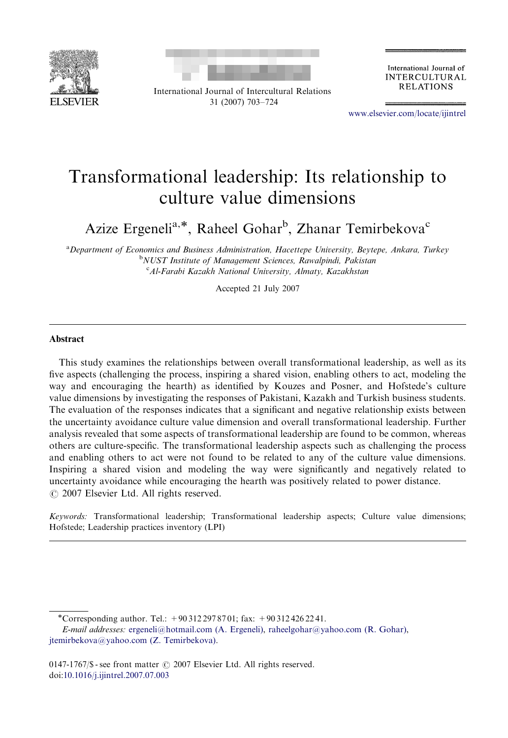



International Journal of Intercultural Relations 31 (2007) 703–724

International Journal of **INTERCULTURAL RELATIONS** 

<www.elsevier.com/locate/ijintrel>

## Transformational leadership: Its relationship to culture value dimensions

Azize Ergeneli<sup>a,\*</sup>, Raheel Gohar<sup>b</sup>, Zhanar Temirbekova<sup>c</sup>

<sup>a</sup> Department of Economics and Business Administration, Hacettepe University, Beytepe, Ankara, Turkey <sup>b</sup>NUST Institute of Management Sciences, Rawalpindi, Pakistan <sup>c</sup> Al-Farabi Kazakh National University, Almaty, Kazakhstan

Accepted 21 July 2007

## Abstract

This study examines the relationships between overall transformational leadership, as well as its five aspects (challenging the process, inspiring a shared vision, enabling others to act, modeling the way and encouraging the hearth) as identified by Kouzes and Posner, and Hofstede's culture value dimensions by investigating the responses of Pakistani, Kazakh and Turkish business students. The evaluation of the responses indicates that a significant and negative relationship exists between the uncertainty avoidance culture value dimension and overall transformational leadership. Further analysis revealed that some aspects of transformational leadership are found to be common, whereas others are culture-specific. The transformational leadership aspects such as challenging the process and enabling others to act were not found to be related to any of the culture value dimensions. Inspiring a shared vision and modeling the way were significantly and negatively related to uncertainty avoidance while encouraging the hearth was positively related to power distance.  $\odot$  2007 Elsevier Ltd. All rights reserved.

Keywords: Transformational leadership; Transformational leadership aspects; Culture value dimensions; Hofstede; Leadership practices inventory (LPI)

<sup>-</sup>Corresponding author. Tel.: +90 312 297 87 01; fax: +90 312 426 22 41.

E-mail addresses: [ergeneli@hotmail.com \(A. Ergeneli\)](mailto:ergeneli@hotmail.com), [raheelgohar@yahoo.com \(R. Gohar\)](mailto:raheelgohar@yahoo.com), [jtemirbekova@yahoo.com \(Z. Temirbekova\).](mailto:jtemirbekova@yahoo.com)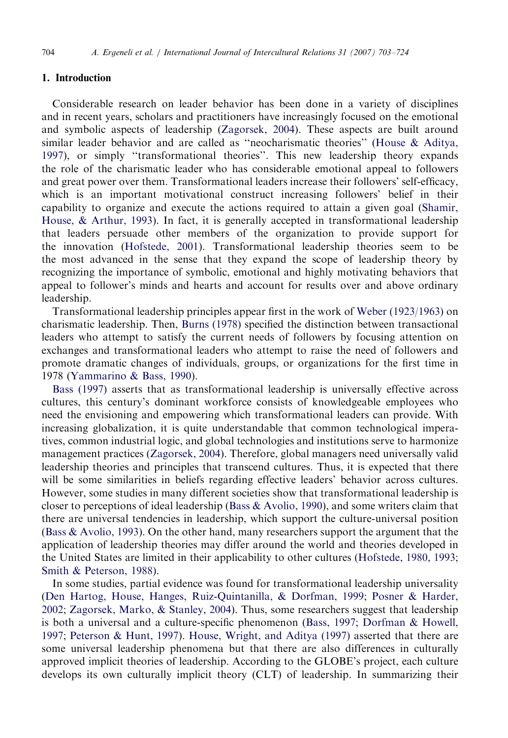## 1. Introduction

Considerable research on leader behavior has been done in a variety of disciplines and in recent years, scholars and practitioners have increasingly focused on the emotional and symbolic aspects of leadership ([Zagorsek, 2004\)](#page--1-0). These aspects are built around similar leader behavior and are called as ''neocharismatic theories'' [\(House](#page--1-0) & [Aditya,](#page--1-0) [1997](#page--1-0)), or simply ''transformational theories''. This new leadership theory expands the role of the charismatic leader who has considerable emotional appeal to followers and great power over them. Transformational leaders increase their followers' self-efficacy, which is an important motivational construct increasing followers' belief in their capability to organize and execute the actions required to attain a given goal ([Shamir,](#page--1-0) [House, & Arthur, 1993\)](#page--1-0). In fact, it is generally accepted in transformational leadership that leaders persuade other members of the organization to provide support for the innovation [\(Hofstede, 2001](#page--1-0)). Transformational leadership theories seem to be the most advanced in the sense that they expand the scope of leadership theory by recognizing the importance of symbolic, emotional and highly motivating behaviors that appeal to follower's minds and hearts and account for results over and above ordinary leadership.

Transformational leadership principles appear first in the work of [Weber \(1923/1963\)](#page--1-0) on charismatic leadership. Then, [Burns \(1978\)](#page--1-0) specified the distinction between transactional leaders who attempt to satisfy the current needs of followers by focusing attention on exchanges and transformational leaders who attempt to raise the need of followers and promote dramatic changes of individuals, groups, or organizations for the first time in 1978 ([Yammarino & Bass, 1990](#page--1-0)).

[Bass \(1997\)](#page--1-0) asserts that as transformational leadership is universally effective across cultures, this century's dominant workforce consists of knowledgeable employees who need the envisioning and empowering which transformational leaders can provide. With increasing globalization, it is quite understandable that common technological imperatives, common industrial logic, and global technologies and institutions serve to harmonize management practices [\(Zagorsek, 2004](#page--1-0)). Therefore, global managers need universally valid leadership theories and principles that transcend cultures. Thus, it is expected that there will be some similarities in beliefs regarding effective leaders' behavior across cultures. However, some studies in many different societies show that transformational leadership is closer to perceptions of ideal leadership ([Bass & Avolio, 1990](#page--1-0)), and some writers claim that there are universal tendencies in leadership, which support the culture-universal position ([Bass](#page--1-0) [& Avolio, 1993\)](#page--1-0). On the other hand, many researchers support the argument that the application of leadership theories may differ around the world and theories developed in the United States are limited in their applicability to other cultures [\(Hofstede, 1980, 1993;](#page--1-0) [Smith & Peterson, 1988\)](#page--1-0).

In some studies, partial evidence was found for transformational leadership universality ([Den Hartog, House, Hanges, Ruiz-Quintanilla,](#page--1-0) & [Dorfman, 1999](#page--1-0); [Posner & Harder,](#page--1-0) [2002](#page--1-0); [Zagorsek, Marko,](#page--1-0) & [Stanley, 2004](#page--1-0)). Thus, some researchers suggest that leadership is both a universal and a culture-specific phenomenon ([Bass, 1997;](#page--1-0) [Dorfman & Howell,](#page--1-0) [1997](#page--1-0); [Peterson & Hunt, 1997\)](#page--1-0). [House, Wright, and Aditya \(1997\)](#page--1-0) asserted that there are some universal leadership phenomena but that there are also differences in culturally approved implicit theories of leadership. According to the GLOBE's project, each culture develops its own culturally implicit theory (CLT) of leadership. In summarizing their